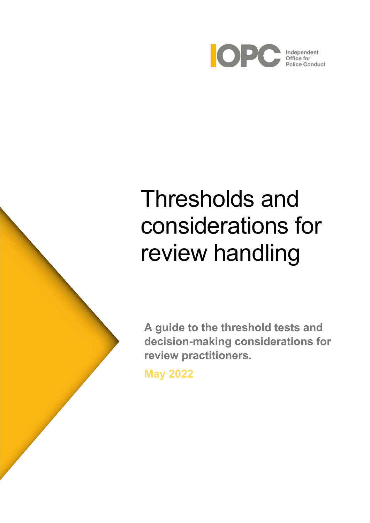

# Thresholds and considerations for review handling

**A guide to the threshold tests and decision-making considerations for review practitioners.**

**May 2022**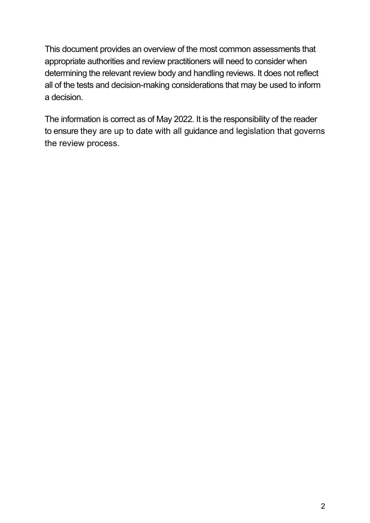This document provides an overview of the most common assessments that appropriate authorities and review practitioners will need to consider when determining the relevant review body and handling reviews. It does not reflect all of the tests and decision-making considerations that may be used to inform a decision.

The information is correct as of May 2022. It is the responsibility of the reader to ensure they are up to date with all guidance and legislation that governs the review process.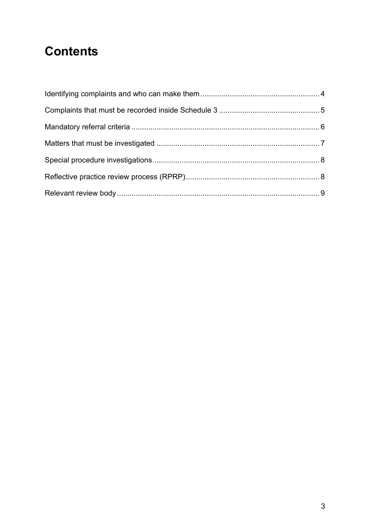# **Contents**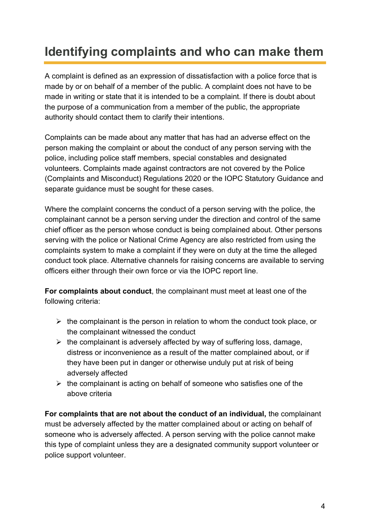# <span id="page-3-0"></span>**Identifying complaints and who can make them**

A complaint is defined as an expression of dissatisfaction with a police force that is made by or on behalf of a member of the public. A complaint does not have to be made in writing or state that it is intended to be a complaint. If there is doubt about the purpose of a communication from a member of the public, the appropriate authority should contact them to clarify their intentions.

Complaints can be made about any matter that has had an adverse effect on the person making the complaint or about the conduct of any person serving with the police, including police staff members, special constables and designated volunteers. Complaints made against contractors are not covered by the Police (Complaints and Misconduct) Regulations 2020 or the IOPC Statutory Guidance and separate guidance must be sought for these cases.

Where the complaint concerns the conduct of a person serving with the police, the complainant cannot be a person serving under the direction and control of the same chief officer as the person whose conduct is being complained about. Other persons serving with the police or National Crime Agency are also restricted from using the complaints system to make a complaint if they were on duty at the time the alleged conduct took place. Alternative channels for raising concerns are available to serving officers either through their own force or via the IOPC report line.

**For complaints about conduct**, the complainant must meet at least one of the following criteria:

- $\triangleright$  the complainant is the person in relation to whom the conduct took place, or the complainant witnessed the conduct
- $\triangleright$  the complainant is adversely affected by way of suffering loss, damage, distress or inconvenience as a result of the matter complained about, or if they have been put in danger or otherwise unduly put at risk of being adversely affected
- $\triangleright$  the complainant is acting on behalf of someone who satisfies one of the above criteria

**For complaints that are not about the conduct of an individual,** the complainant must be adversely affected by the matter complained about or acting on behalf of someone who is adversely affected. A person serving with the police cannot make this type of complaint unless they are a designated community support volunteer or police support volunteer.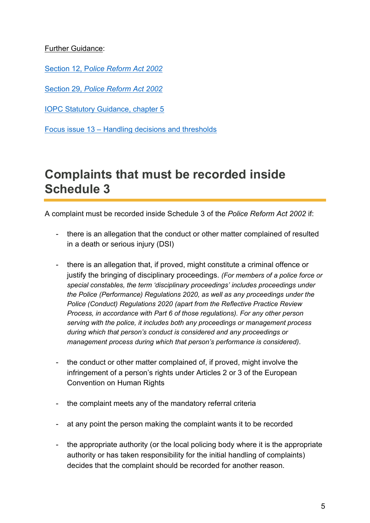#### Further Guidance:

Section 12, P*[olice Reform Act 2002](https://www.legislation.gov.uk/ukpga/2002/30/section/12)*

Section 29, *[Police Reform Act 2002](https://www.legislation.gov.uk/ukpga/2002/30/section/29)*

[IOPC Statutory Guidance, chapter 5](https://www.policeconduct.gov.uk/sites/default/files/Documents/statutoryguidance/2020_statutory_guidance_english.pdf)

Focus issue 13 – [Handling decisions and thresholds](https://www.policeconduct.gov.uk/sites/default/files/Documents/Focus/Focus_13_February2020.pdf)

### <span id="page-4-0"></span>**Complaints that must be recorded inside Schedule 3**

A complaint must be recorded inside Schedule 3 of the *Police Reform Act 2002* if:

- there is an allegation that the conduct or other matter complained of resulted in a death or serious injury (DSI)
- there is an allegation that, if proved, might constitute a criminal offence or justify the bringing of disciplinary proceedings. *(For members of a police force or special constables, the term 'disciplinary proceedings' includes proceedings under the Police (Performance) Regulations 2020, as well as any proceedings under the Police (Conduct) Regulations 2020 (apart from the Reflective Practice Review Process, in accordance with Part 6 of those regulations). For any other person serving with the police, it includes both any proceedings or management process during which that person's conduct is considered and any proceedings or management process during which that person's performance is considered).*
- the conduct or other matter complained of, if proved, might involve the infringement of a person's rights under Articles 2 or 3 of the European Convention on Human Rights
- the complaint meets any of the mandatory referral criteria
- at any point the person making the complaint wants it to be recorded
- the appropriate authority (or the local policing body where it is the appropriate authority or has taken responsibility for the initial handling of complaints) decides that the complaint should be recorded for another reason.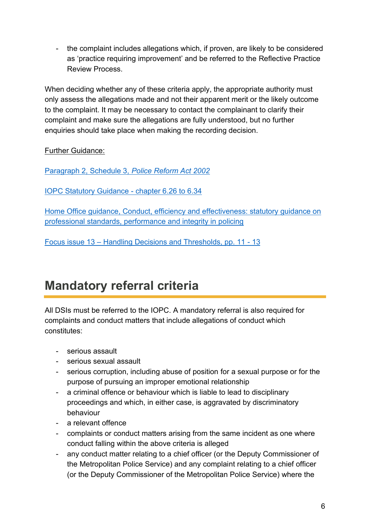- the complaint includes allegations which, if proven, are likely to be considered as 'practice requiring improvement' and be referred to the Reflective Practice Review Process.

When deciding whether any of these criteria apply, the appropriate authority must only assess the allegations made and not their apparent merit or the likely outcome to the complaint. It may be necessary to contact the complainant to clarify their complaint and make sure the allegations are fully understood, but no further enquiries should take place when making the recording decision.

Further Guidance:

[Paragraph 2, Schedule 3,](https://www.legislation.gov.uk/ukpga/2002/30/schedule/3) *Police Reform Act 2002*

[IOPC Statutory Guidance -](https://www.policeconduct.gov.uk/sites/default/files/Documents/statutoryguidance/2020_statutory_guidance_english.pdf) chapter 6.26 to 6.34

[Home Office guidance, Conduct, efficiency and effectiveness: statutory guidance on](https://assets.publishing.service.gov.uk/government/uploads/system/uploads/attachment_data/file/863820/Home_Office_Statutory_Guidance_0502.pdf)  [professional standards, performance and integrity in policing](https://assets.publishing.service.gov.uk/government/uploads/system/uploads/attachment_data/file/863820/Home_Office_Statutory_Guidance_0502.pdf)

Focus issue 13 – [Handling Decisions and Thresholds, pp. 11 -](https://www.policeconduct.gov.uk/sites/default/files/Documents/Focus/Focus_13_February2020.pdf) 13

# <span id="page-5-0"></span>**Mandatory referral criteria**

All DSIs must be referred to the IOPC. A mandatory referral is also required for complaints and conduct matters that include allegations of conduct which constitutes:

- serious assault
- serious sexual assault
- serious corruption, including abuse of position for a sexual purpose or for the purpose of pursuing an improper emotional relationship
- a criminal offence or behaviour which is liable to lead to disciplinary proceedings and which, in either case, is aggravated by discriminatory behaviour
- a relevant offence
- complaints or conduct matters arising from the same incident as one where conduct falling within the above criteria is alleged
- any conduct matter relating to a chief officer (or the Deputy Commissioner of the Metropolitan Police Service) and any complaint relating to a chief officer (or the Deputy Commissioner of the Metropolitan Police Service) where the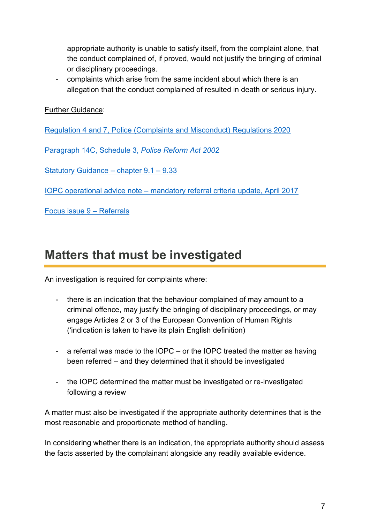appropriate authority is unable to satisfy itself, from the complaint alone, that the conduct complained of, if proved, would not justify the bringing of criminal or disciplinary proceedings.

- complaints which arise from the same incident about which there is an allegation that the conduct complained of resulted in death or serious injury.

Further Guidance:

[Regulation 4 and 7, Police \(Complaints and Misconduct\) Regulations 2020](https://www.legislation.gov.uk/uksi/2020/2/contents/made) 

[Paragraph 14C, Schedule 3,](https://www.legislation.gov.uk/ukpga/2002/30/schedule/3) *Police Reform Act 2002*

[Statutory Guidance](https://www.policeconduct.gov.uk/sites/default/files/Documents/statutoryguidance/2020_statutory_guidance_english.pdf) – chapter 9.1 – 9.33

IOPC operational advice note – [mandatory referral criteria update, April 2017](https://policeconduct.gov.uk/sites/default/files/Documents/statutoryguidance/Operationa_%20advice_note_mandatory_referral_criteria_April_2017.pdf)

[Focus issue 9](https://www.policeconduct.gov.uk/sites/default/files/Documents/Focus/Focus_Issue_9_updated_September_2021.pdf) – Referrals

### <span id="page-6-0"></span>**Matters that must be investigated**

An investigation is required for complaints where:

- there is an indication that the behaviour complained of may amount to a criminal offence, may justify the bringing of disciplinary proceedings, or may engage Articles 2 or 3 of the European Convention of Human Rights ('indication is taken to have its plain English definition)
- a referral was made to the IOPC or the IOPC treated the matter as having been referred – and they determined that it should be investigated
- the IOPC determined the matter must be investigated or re-investigated following a review

A matter must also be investigated if the appropriate authority determines that is the most reasonable and proportionate method of handling.

In considering whether there is an indication, the appropriate authority should assess the facts asserted by the complainant alongside any readily available evidence.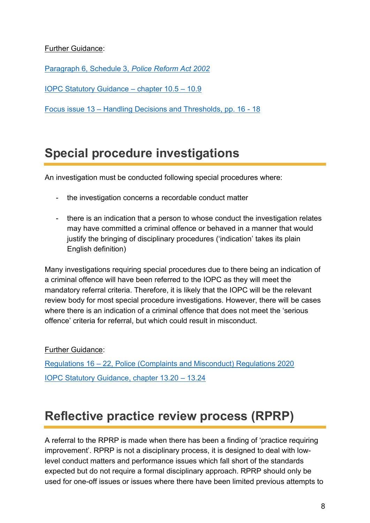#### Further Guidance:

[Paragraph 6, Schedule 3,](https://www.legislation.gov.uk/ukpga/2002/30/schedule/3/part/1/crossheading/handling-of-complaints-by-the-appropriate-authority) *Police Reform Act 2002*

[IOPC Statutory Guidance](https://www.policeconduct.gov.uk/sites/default/files/Documents/statutoryguidance/2020_statutory_guidance_english.pdf) – chapter 10.5 – 10.9

Focus issue 13 – [Handling Decisions and Thresholds, pp. 16 -](https://www.policeconduct.gov.uk/sites/default/files/Documents/Focus/Focus_13_February2020.pdf) 18

### <span id="page-7-0"></span>**Special procedure investigations**

An investigation must be conducted following special procedures where:

- the investigation concerns a recordable conduct matter
- there is an indication that a person to whose conduct the investigation relates may have committed a criminal offence or behaved in a manner that would justify the bringing of disciplinary procedures ('indication' takes its plain English definition)

Many investigations requiring special procedures due to there being an indication of a criminal offence will have been referred to the IOPC as they will meet the mandatory referral criteria. Therefore, it is likely that the IOPC will be the relevant review body for most special procedure investigations. However, there will be cases where there is an indication of a criminal offence that does not meet the 'serious offence' criteria for referral, but which could result in misconduct.

#### Further Guidance:

Regulations 16 – [22, Police \(Complaints and Misconduct\) Regulations 2020](https://www.legislation.gov.uk/uksi/2020/2/contents/made) [IOPC Statutory Guidance, chapter 13.20](https://www.policeconduct.gov.uk/sites/default/files/Documents/statutoryguidance/2020_statutory_guidance_english.pdf) – 13.24

### <span id="page-7-1"></span>**Reflective practice review process (RPRP)**

A referral to the RPRP is made when there has been a finding of 'practice requiring improvement'. RPRP is not a disciplinary process, it is designed to deal with lowlevel conduct matters and performance issues which fall short of the standards expected but do not require a formal disciplinary approach. RPRP should only be used for one-off issues or issues where there have been limited previous attempts to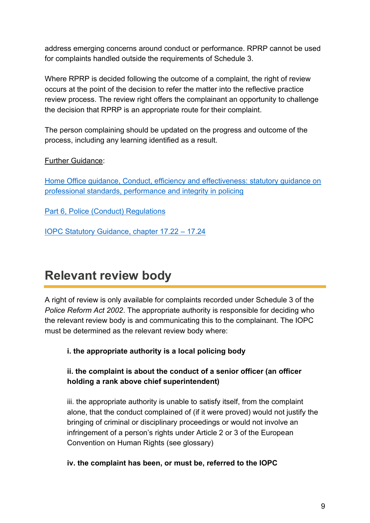address emerging concerns around conduct or performance. RPRP cannot be used for complaints handled outside the requirements of Schedule 3.

Where RPRP is decided following the outcome of a complaint, the right of review occurs at the point of the decision to refer the matter into the reflective practice review process. The review right offers the complainant an opportunity to challenge the decision that RPRP is an appropriate route for their complaint.

The person complaining should be updated on the progress and outcome of the process, including any learning identified as a result.

Further Guidance:

[Home Office guidance, Conduct, efficiency and effectiveness: statutory guidance on](https://assets.publishing.service.gov.uk/government/uploads/system/uploads/attachment_data/file/863820/Home_Office_Statutory_Guidance_0502.pdf)  [professional standards, performance and integrity in policing](https://assets.publishing.service.gov.uk/government/uploads/system/uploads/attachment_data/file/863820/Home_Office_Statutory_Guidance_0502.pdf)

[Part 6, Police \(Conduct\) Regulations](https://www.legislation.gov.uk/uksi/2020/4/made)

[IOPC Statutory Guidance, chapter 17.22](https://www.policeconduct.gov.uk/sites/default/files/Documents/statutoryguidance/2020_statutory_guidance_english.pdf) – 17.24

### <span id="page-8-0"></span>**Relevant review body**

A right of review is only available for complaints recorded under Schedule 3 of the *Police Reform Act 2002*. The appropriate authority is responsible for deciding who the relevant review body is and communicating this to the complainant. The IOPC must be determined as the relevant review body where:

**i. the appropriate authority is a local policing body**

#### **ii. the complaint is about the conduct of a senior officer (an officer holding a rank above chief superintendent)**

iii. the appropriate authority is unable to satisfy itself, from the complaint alone, that the conduct complained of (if it were proved) would not justify the bringing of criminal or disciplinary proceedings or would not involve an infringement of a person's rights under Article 2 or 3 of the European Convention on Human Rights (see glossary)

#### **iv. the complaint has been, or must be, referred to the IOPC**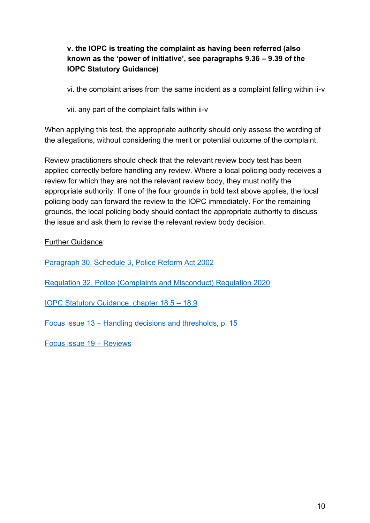### **v. the IOPC is treating the complaint as having been referred (also known as the 'power of initiative', see paragraphs 9.36 – 9.39 of the IOPC Statutory Guidance)**

vi. the complaint arises from the same incident as a complaint falling within ii-v

vii. any part of the complaint falls within ii-v

When applying this test, the appropriate authority should only assess the wording of the allegations, without considering the merit or potential outcome of the complaint.

Review practitioners should check that the relevant review body test has been applied correctly before handling any review. Where a local policing body receives a review for which they are not the relevant review body, they must notify the appropriate authority. If one of the four grounds in bold text above applies, the local policing body can forward the review to the IOPC immediately. For the remaining grounds, the local policing body should contact the appropriate authority to discuss the issue and ask them to revise the relevant review body decision.

Further Guidance:

[Paragraph 30, Schedule 3, Police Reform Act 2002](https://www.legislation.gov.uk/ukpga/2002/30/schedule/3/part/1/crossheading/handling-of-complaints-by-the-appropriate-authority)

[Regulation 32, Police \(Complaints and Misconduct\) Regulation 2020](https://www.legislation.gov.uk/uksi/2020/2/regulation/32/made)

[IOPC Statutory Guidance, chapter 18.5](https://www.policeconduct.gov.uk/sites/default/files/Documents/statutoryguidance/2020_statutory_guidance_english.pdf) – 18.9

Focus issue 13 – [Handling decisions and thresholds, p. 15](https://www.policeconduct.gov.uk/sites/default/files/Documents/Focus/Focus_13_February2020.pdf)

[Focus issue 19](https://www.policeconduct.gov.uk/sites/default/files/Documents/Focus/Focus_19_January2021.pdf) – Reviews